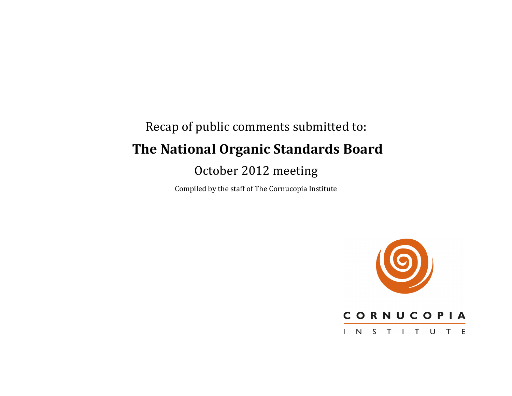# Recap of public comments submitted to: **The National Organic Standards Board**

# October 2012 meeting

Compiled by the staff of The Cornucopia Institute



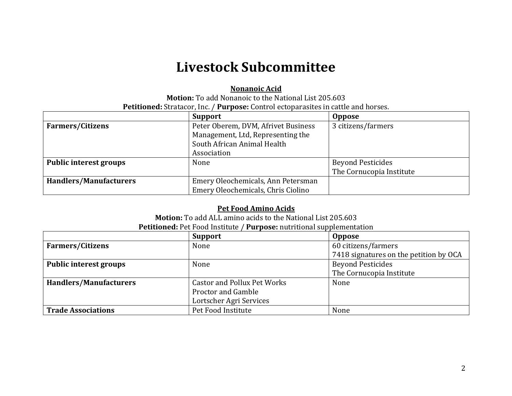# **Livestock!Subcommittee**

#### **Nonanoic Acid**

**Motion:** To add Nonanoic to the National List 205.603 **Petitioned:** Stratacor, Inc. / **Purpose:** Control ectoparasites in cattle and horses.

|                         | <b>Support</b>                      | <b>Oppose</b>            |
|-------------------------|-------------------------------------|--------------------------|
| <b>Farmers/Citizens</b> | Peter Oberem, DVM, Afrivet Business | 3 citizens/farmers       |
|                         | Management, Ltd, Representing the   |                          |
|                         | South African Animal Health         |                          |
|                         | Association                         |                          |
| Public interest groups  | None                                | <b>Beyond Pesticides</b> |
|                         |                                     | The Cornucopia Institute |
| Handlers/Manufacturers  | Emery Oleochemicals, Ann Petersman  |                          |
|                         | Emery Oleochemicals, Chris Ciolino  |                          |

#### **Pet Food Amino Acids**

**Motion:** To add ALL amino acids to the National List 205.603

| Petitioned: Pet Food Institute / Purpose: nutritional supplementation |  |  |
|-----------------------------------------------------------------------|--|--|
|-----------------------------------------------------------------------|--|--|

|                               | <b>Support</b>                     | <b>Oppose</b>                          |
|-------------------------------|------------------------------------|----------------------------------------|
| <b>Farmers/Citizens</b>       | None                               | 60 citizens/farmers                    |
|                               |                                    | 7418 signatures on the petition by OCA |
| <b>Public interest groups</b> | None                               | <b>Beyond Pesticides</b>               |
|                               |                                    | The Cornucopia Institute               |
| <b>Handlers/Manufacturers</b> | <b>Castor and Pollux Pet Works</b> | None                                   |
|                               | Proctor and Gamble                 |                                        |
|                               | Lortscher Agri Services            |                                        |
| <b>Trade Associations</b>     | Pet Food Institute                 | None                                   |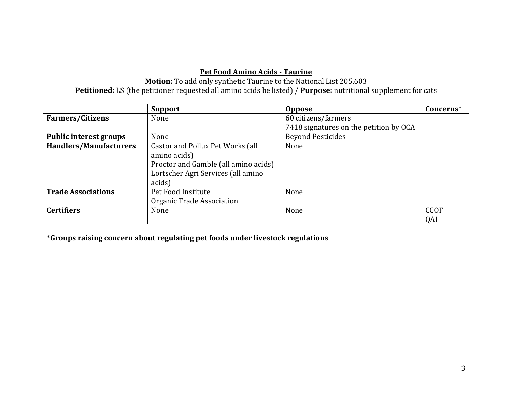# **Pet Food Amino Acids - Taurine**

Motion: To add only synthetic Taurine to the National List 205.603 **Petitioned:** LS (the petitioner requested all amino acids be listed) / **Purpose:** nutritional supplement for cats

|                               | <b>Support</b>                       | <b>Oppose</b>                          | Concerns*   |
|-------------------------------|--------------------------------------|----------------------------------------|-------------|
| <b>Farmers/Citizens</b>       | None                                 | 60 citizens/farmers                    |             |
|                               |                                      | 7418 signatures on the petition by OCA |             |
| Public interest groups        | None                                 | <b>Beyond Pesticides</b>               |             |
| <b>Handlers/Manufacturers</b> | Castor and Pollux Pet Works (all     | None                                   |             |
|                               | amino acids)                         |                                        |             |
|                               | Proctor and Gamble (all amino acids) |                                        |             |
|                               | Lortscher Agri Services (all amino   |                                        |             |
|                               | acids)                               |                                        |             |
| <b>Trade Associations</b>     | Pet Food Institute                   | None                                   |             |
|                               | Organic Trade Association            |                                        |             |
| <b>Certifiers</b>             | None                                 | None                                   | <b>CCOF</b> |
|                               |                                      |                                        | QAI         |

**\*Groups!raising!concern!about!regulating!pet!foods!under!livestock!regulations**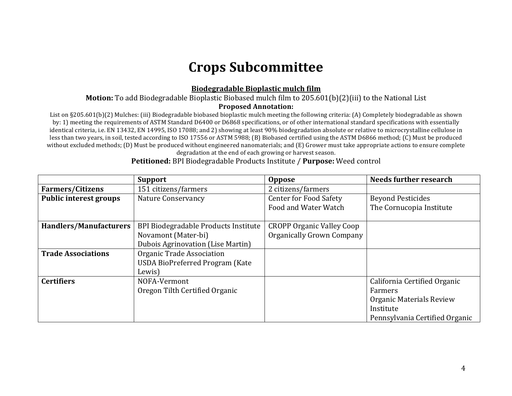# **Crops!Subcommittee**

### **Biodegradable!Bioplastic!mulch!film**

#### **Motion:** To add Biodegradable Bioplastic Biobased mulch film to 205.601(b)(2)(iii) to the National List

#### **Proposed!Annotation:**

List on §205.601(b)(2) Mulches: (iii) Biodegradable biobased bioplastic mulch meeting the following criteria: (A) Completely biodegradable as shown by: 1) meeting the requirements of ASTM Standard D6400 or D6868 specifications, or of other international standard specifications with essentially identical criteria, i.e. EN 13432, EN 14995, ISO 17088; and 2) showing at least 90% biodegradation absolute or relative to microcrystalline cellulose in less than two years, in soil, tested according to ISO 17556 or ASTM 5988; (B) Biobased certified using the ASTM D6866 method; (C) Must be produced without excluded methods; (D) Must be produced without engineered nanomaterials; and (E) Grower must take appropriate actions to ensure complete degradation at the end of each growing or harvest season.

|                               | <b>Support</b>                           | <b>Oppose</b>                    | <b>Needs further research</b>  |
|-------------------------------|------------------------------------------|----------------------------------|--------------------------------|
| <b>Farmers/Citizens</b>       | 151 citizens/farmers                     | 2 citizens/farmers               |                                |
| <b>Public interest groups</b> | <b>Nature Conservancy</b>                | <b>Center for Food Safety</b>    | <b>Beyond Pesticides</b>       |
|                               |                                          | Food and Water Watch             | The Cornucopia Institute       |
|                               |                                          |                                  |                                |
| <b>Handlers/Manufacturers</b> | BPI Biodegradable Products Institute     | <b>CROPP Organic Valley Coop</b> |                                |
|                               | Novamont (Mater-bi)                      | Organically Grown Company        |                                |
|                               | <b>Dubois Agrinovation (Lise Martin)</b> |                                  |                                |
| <b>Trade Associations</b>     | Organic Trade Association                |                                  |                                |
|                               | <b>USDA BioPreferred Program (Kate</b>   |                                  |                                |
|                               | Lewis)                                   |                                  |                                |
| <b>Certifiers</b>             | NOFA-Vermont                             |                                  | California Certified Organic   |
|                               | Oregon Tilth Certified Organic           |                                  | Farmers                        |
|                               |                                          |                                  | Organic Materials Review       |
|                               |                                          |                                  | Institute                      |
|                               |                                          |                                  | Pennsylvania Certified Organic |

#### **Petitioned: BPI Biodegradable Products Institute / Purpose: Weed control**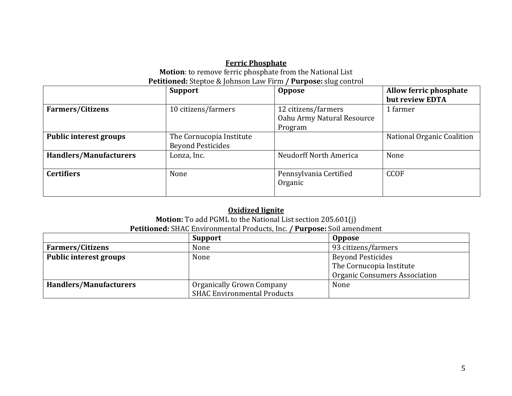#### **Ferric Phosphate Motion**: to remove ferric phosphate from the National List **Petitioned:** Steptoe & Johnson Law Firm / **Purpose:** slug control

|                               | <b>Support</b>           | <b>Oppose</b>              | Allow ferric phosphate     |
|-------------------------------|--------------------------|----------------------------|----------------------------|
|                               |                          |                            | but review EDTA            |
| <b>Farmers/Citizens</b>       | 10 citizens/farmers      | 12 citizens/farmers        | 1 farmer                   |
|                               |                          | Oahu Army Natural Resource |                            |
|                               |                          | Program                    |                            |
| <b>Public interest groups</b> | The Cornucopia Institute |                            | National Organic Coalition |
|                               | <b>Beyond Pesticides</b> |                            |                            |
| <b>Handlers/Manufacturers</b> | Lonza, Inc.              | Neudorff North America     | None                       |
|                               |                          |                            |                            |
| <b>Certifiers</b>             | None                     | Pennsylvania Certified     | <b>CCOF</b>                |
|                               |                          | Organic                    |                            |
|                               |                          |                            |                            |

### **Oxidized lignite**

**Motion:** To add PGML to the National List section 205.601(j) Petitioned: SHAC Environmental Products, Inc. / Purpose: Soil amendment

|                               | <b>Support</b>                     | <b>Oppose</b>                        |
|-------------------------------|------------------------------------|--------------------------------------|
| <b>Farmers/Citizens</b>       | None                               | 93 citizens/farmers                  |
| <b>Public interest groups</b> | None                               | <b>Beyond Pesticides</b>             |
|                               |                                    | The Cornucopia Institute             |
|                               |                                    | <b>Organic Consumers Association</b> |
| <b>Handlers/Manufacturers</b> | Organically Grown Company          | None                                 |
|                               | <b>SHAC Environmental Products</b> |                                      |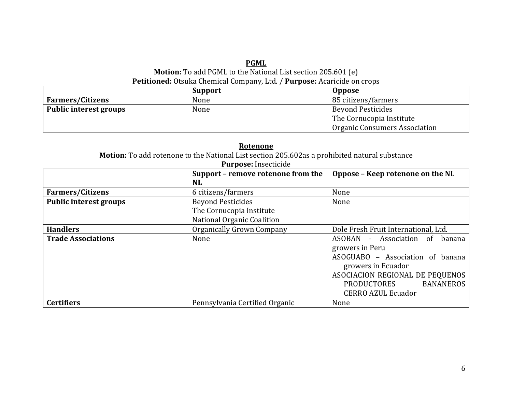#### **PGML Motion:** To add PGML to the National List section 205.601 (e) Petitioned: Otsuka Chemical Company, Ltd. / Purpose: Acaricide on crops

|                         | Support | <b>Oppose</b>                 |  |
|-------------------------|---------|-------------------------------|--|
| <b>Farmers/Citizens</b> | None    | 85 citizens/farmers           |  |
| Public interest groups  | None    | <b>Beyond Pesticides</b>      |  |
|                         |         | The Cornucopia Institute      |  |
|                         |         | Organic Consumers Association |  |

| Rotenone                                                                                      |                                    |                                        |  |
|-----------------------------------------------------------------------------------------------|------------------------------------|----------------------------------------|--|
| Motion: To add rotenone to the National List section 205.602as a prohibited natural substance |                                    |                                        |  |
|                                                                                               | Purpose: Insecticide               |                                        |  |
|                                                                                               | Support - remove rotenone from the | Oppose - Keep rotenone on the NL       |  |
|                                                                                               | <b>NL</b>                          |                                        |  |
| <b>Farmers/Citizens</b>                                                                       | 6 citizens/farmers                 | None                                   |  |
| <b>Public interest groups</b>                                                                 | <b>Beyond Pesticides</b>           | None                                   |  |
|                                                                                               | The Cornucopia Institute           |                                        |  |
|                                                                                               | National Organic Coalition         |                                        |  |
| <b>Handlers</b>                                                                               | Organically Grown Company          | Dole Fresh Fruit International, Ltd.   |  |
| <b>Trade Associations</b>                                                                     | None                               | ASOBAN<br>- Association of<br>banana   |  |
|                                                                                               |                                    | growers in Peru                        |  |
|                                                                                               |                                    | ASOGUABO - Association of banana       |  |
|                                                                                               |                                    | growers in Ecuador                     |  |
|                                                                                               |                                    | ASOCIACION REGIONAL DE PEQUENOS        |  |
|                                                                                               |                                    | <b>BANANEROS</b><br><b>PRODUCTORES</b> |  |
|                                                                                               |                                    | <b>CERRO AZUL Ecuador</b>              |  |
| <b>Certifiers</b>                                                                             | Pennsylvania Certified Organic     | None                                   |  |

#### **Rotenone**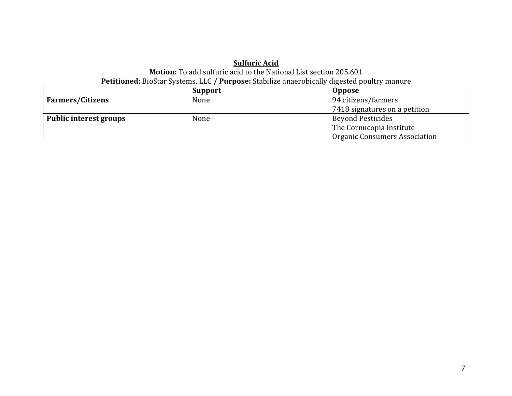### **Sulfuric Acid Motion:** To add sulfuric acid to the National List section 205.601 Petitioned: BioStar Systems, LLC / Purpose: Stabilize anaerobically digested poultry manure

|                         | <b>Support</b> | <b>Oppose</b>                        |
|-------------------------|----------------|--------------------------------------|
| <b>Farmers/Citizens</b> | None           | 94 citizens/farmers                  |
|                         |                | 7418 signatures on a petition        |
| Public interest groups  | None           | <b>Beyond Pesticides</b>             |
|                         |                | The Cornucopia Institute             |
|                         |                | <b>Organic Consumers Association</b> |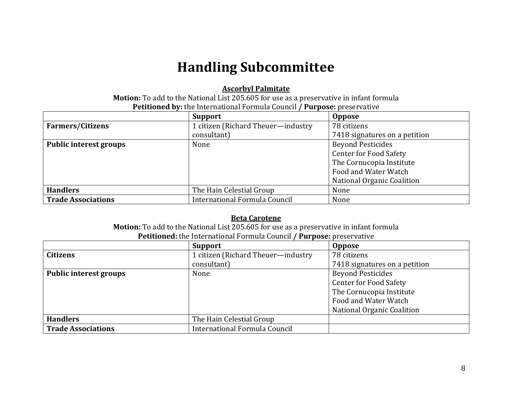# **Handling Subcommittee**

### **Ascorbyl Palmitate**

Motion: To add to the National List 205.605 for use as a preservative in infant formula Petitioned by: the International Formula Council / Purpose: preservative

|                           | <b>Support</b>                     | <b>Oppose</b>                 |
|---------------------------|------------------------------------|-------------------------------|
| <b>Farmers/Citizens</b>   | 1 citizen (Richard Theuer-industry | 78 citizens                   |
|                           | consultant)                        | 7418 signatures on a petition |
| Public interest groups    | None                               | <b>Beyond Pesticides</b>      |
|                           |                                    | <b>Center for Food Safety</b> |
|                           |                                    | The Cornucopia Institute      |
|                           |                                    | Food and Water Watch          |
|                           |                                    | National Organic Coalition    |
| <b>Handlers</b>           | The Hain Celestial Group           | None                          |
| <b>Trade Associations</b> | International Formula Council      | None                          |

#### **Beta Carotene**

**Motion:** To add to the National List 205.605 for use as a preservative in infant formula Petitioned: the International Formula Council / Purpose: preservative

|                           | <b>Support</b>                     | <b>Oppose</b>                     |
|---------------------------|------------------------------------|-----------------------------------|
| <b>Citizens</b>           | 1 citizen (Richard Theuer-industry | 78 citizens                       |
|                           | consultant)                        | 7418 signatures on a petition     |
| Public interest groups    | None                               | <b>Beyond Pesticides</b>          |
|                           |                                    | <b>Center for Food Safety</b>     |
|                           |                                    | The Cornucopia Institute          |
|                           |                                    | Food and Water Watch              |
|                           |                                    | <b>National Organic Coalition</b> |
| <b>Handlers</b>           | The Hain Celestial Group           |                                   |
| <b>Trade Associations</b> | International Formula Council      |                                   |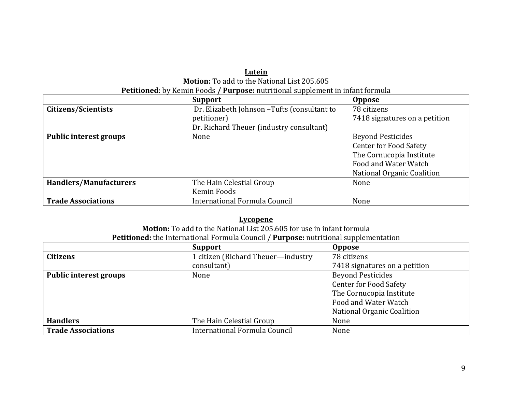#### **Lutein Motion:** To add to the National List 205.605 **Petitioned**: by Kemin Foods / **Purpose:** nutritional supplement in infant formula

|                               | <b>Support</b>                               | <b>Oppose</b>                 |
|-------------------------------|----------------------------------------------|-------------------------------|
| Citizens/Scientists           | Dr. Elizabeth Johnson - Tufts (consultant to | 78 citizens                   |
|                               | petitioner)                                  | 7418 signatures on a petition |
|                               | Dr. Richard Theuer (industry consultant)     |                               |
| <b>Public interest groups</b> | None                                         | <b>Beyond Pesticides</b>      |
|                               |                                              | <b>Center for Food Safety</b> |
|                               |                                              | The Cornucopia Institute      |
|                               |                                              | Food and Water Watch          |
|                               |                                              | National Organic Coalition    |
| <b>Handlers/Manufacturers</b> | The Hain Celestial Group                     | None                          |
|                               | Kemin Foods                                  |                               |
| <b>Trade Associations</b>     | International Formula Council                | None                          |

#### **Lycopene**

**Motion:** To add to the National List 205.605 for use in infant formula Petitioned: the International Formula Council / Purpose: nutritional supplementation

|                               | <b>Support</b>                     | <b>Oppose</b>                 |
|-------------------------------|------------------------------------|-------------------------------|
| <b>Citizens</b>               | 1 citizen (Richard Theuer-industry | 78 citizens                   |
|                               | consultant)                        | 7418 signatures on a petition |
| <b>Public interest groups</b> | None                               | <b>Beyond Pesticides</b>      |
|                               |                                    | <b>Center for Food Safety</b> |
|                               |                                    | The Cornucopia Institute      |
|                               |                                    | Food and Water Watch          |
|                               |                                    | National Organic Coalition    |
| <b>Handlers</b>               | The Hain Celestial Group           | None                          |
| <b>Trade Associations</b>     | International Formula Council      | None                          |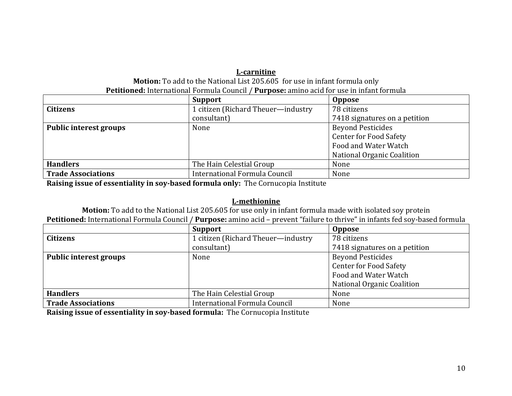# L-carnitine

**Motion:** To add to the National List 205.605 for use in infant formula only **Petitioned:** International Formula Council / **Purpose:** amino acid for use in infant formula

|                           | <b>Support</b>                     | <b>Oppose</b>                 |
|---------------------------|------------------------------------|-------------------------------|
| <b>Citizens</b>           | 1 citizen (Richard Theuer-industry | 78 citizens                   |
|                           | consultant)                        | 7418 signatures on a petition |
| Public interest groups    | None                               | <b>Beyond Pesticides</b>      |
|                           |                                    | <b>Center for Food Safety</b> |
|                           |                                    | Food and Water Watch          |
|                           |                                    | National Organic Coalition    |
| <b>Handlers</b>           | The Hain Celestial Group           | None                          |
| <b>Trade Associations</b> | International Formula Council      | None                          |

**Raising issue of essentiality in soy-based formula only:** The Cornucopia Institute

# **L-methionine**

**Motion:** To add to the National List 205.605 for use only in infant formula made with isolated soy protein **Petitioned:** International Formula Council / Purpose: amino acid – prevent "failure to thrive" in infants fed soy-based formula

|                               | <b>Support</b>                     | <b>Oppose</b>                 |
|-------------------------------|------------------------------------|-------------------------------|
| <b>Citizens</b>               | 1 citizen (Richard Theuer-industry | 78 citizens                   |
|                               | consultant)                        | 7418 signatures on a petition |
| <b>Public interest groups</b> | None                               | <b>Beyond Pesticides</b>      |
|                               |                                    | <b>Center for Food Safety</b> |
|                               |                                    | Food and Water Watch          |
|                               |                                    | National Organic Coalition    |
| <b>Handlers</b>               | The Hain Celestial Group           | None                          |
| <b>Trade Associations</b>     | International Formula Council      | None                          |

**Raising issue of essentiality in soy-based formula:** The Cornucopia Institute